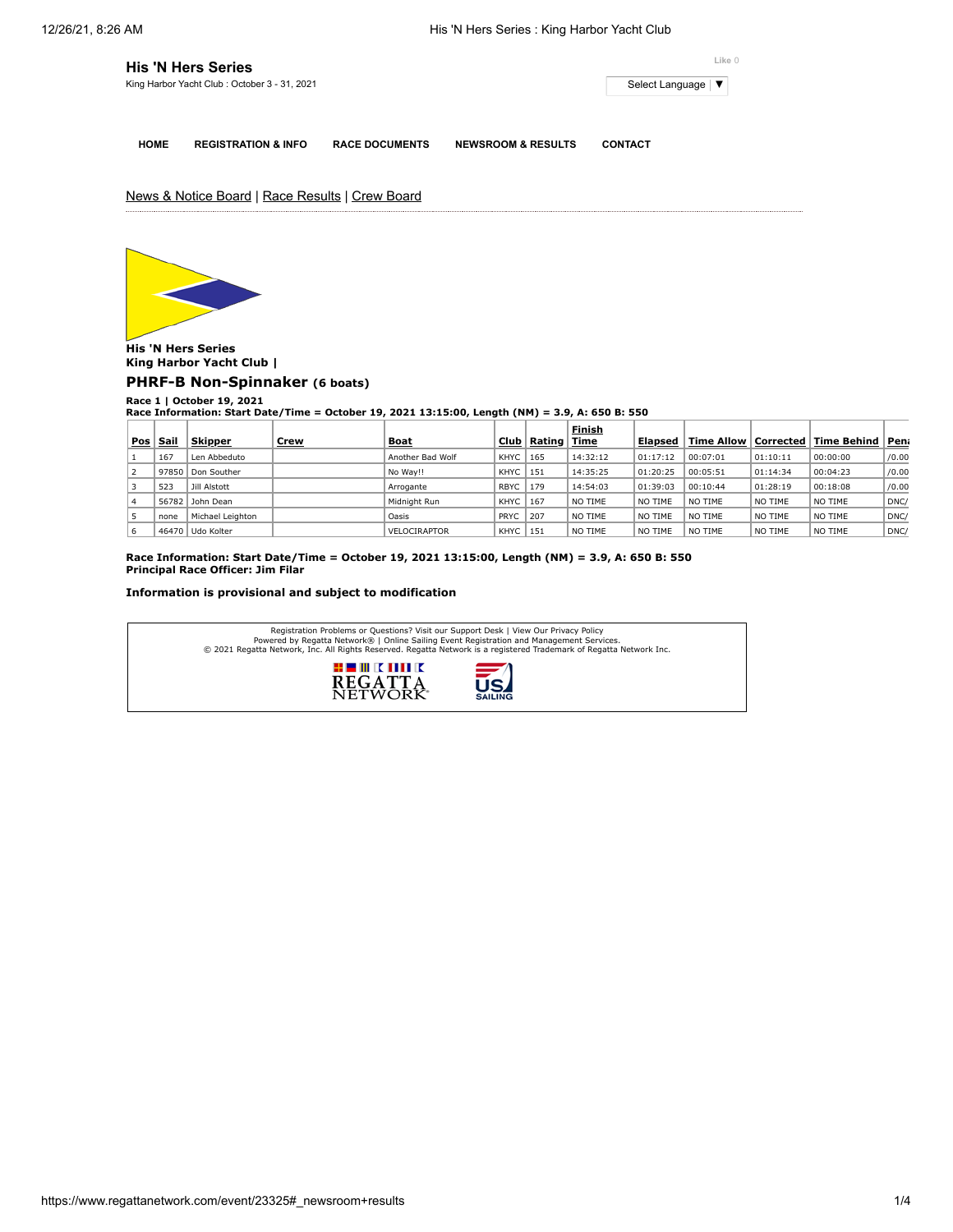| <b>His 'N Hers Series</b>                    | Like 0              |  |  |  |  |
|----------------------------------------------|---------------------|--|--|--|--|
| King Harbor Yacht Club: October 3 - 31, 2021 | Select Language   ▼ |  |  |  |  |
|                                              |                     |  |  |  |  |

**HOME REGISTRATION & INFO RACE DOCUMENTS NEWSROOM & RESULTS CONTACT**

News & Notice Board | Race Results | Crew Board



**His 'N Hers Series King Harbor Yacht Club |**

**[PHRF-B Non-Spinnaker](https://www.regattanetwork.com/clubmgmt/applet_race_scores.php?regatta_id=23325&race_num=1&fleet=PHRF-B+Non-Spinnaker&show_crew=1) (6 boats)**

**Race 1 | October 19, 2021 Race Information: Start Date/Time = October 19, 2021 13:15:00, Length (NM) = 3.9, A: 650 B: 550**

|     |             |                  |             |                  |             |        | Finish   |          |            |                   |             |       |
|-----|-------------|------------------|-------------|------------------|-------------|--------|----------|----------|------------|-------------------|-------------|-------|
| Pos | <u>Sail</u> | <b>Skipper</b>   | <u>Crew</u> | <b>Boat</b>      | Club ∣      | Rating | Time     | Elapsed  | Time Allow | $ $ Corrected $ $ | Time Behind | Pen   |
|     | 167         | Len Abbeduto     |             | Another Bad Wolf | KHYC        | 165    | 14:32:12 | 01:17:12 | 00:07:01   | 01:10:11          | 00:00:00    | /0.00 |
|     | 97850       | Don Souther      |             | No Way!!         | KHYC        | 151    | 14:35:25 | 01:20:25 | 00:05:51   | 01:14:34          | 00:04:23    | /0.00 |
|     | 523         | Jill Alstott     |             | Arrogante        | <b>RBYC</b> | 179    | 14:54:03 | 01:39:03 | 00:10:44   | 01:28:19          | 00:18:08    | /0.00 |
|     |             | 56782 John Dean  |             | Midnight Run     | KHYC        | 167    | NO TIME  | NO TIME  | NO TIME    | NO TIME           | NO TIME     | DNC   |
|     | none        | Michael Leighton |             | Oasis            | PRYC        | 207    | NO TIME  | NO TIME  | NO TIME    | NO TIME           | NO TIME     | DNC   |
| ь   |             | 46470 Udo Kolter |             | VELOCIRAPTOR     | KHYC        | 151    | NO TIME  | NO TIME  | NO TIME    | NO TIME           | NO TIME     | DNC   |

**Race Information: Start Date/Time = October 19, 2021 13:15:00, Length (NM) = 3.9, A: 650 B: 550 Principal Race Officer: Jim Filar**

## **Information is provisional and subject to modification**